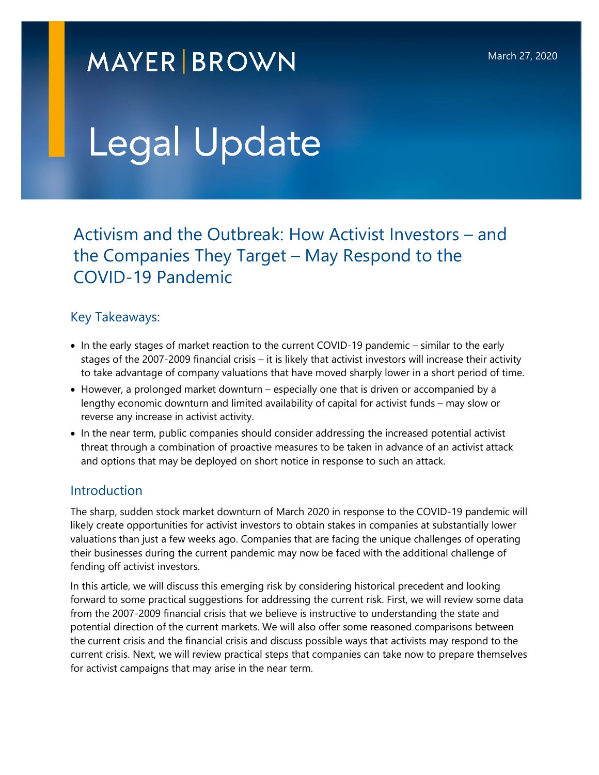# **MAYER BROWN**

# Legal Update

 Activism and the Outbreak: How Activist Investors – and the Companies They Target – May Respond to the COVID-19 Pandemic

#### Key Takeaways:

- In the early stages of market reaction to the current COVID-19 pandemic similar to the early stages of the 2007-2009 financial crisis – it is likely that activist investors will increase their activity to take advantage of company valuations that have moved sharply lower in a short period of time.
- However, a prolonged market downturn especially one that is driven or accompanied by a lengthy economic downturn and limited availability of capital for activist funds – may slow or reverse any increase in activist activity.
- In the near term, public companies should consider addressing the increased potential activist threat through a combination of proactive measures to be taken in advance of an activist attack and options that may be deployed on short notice in response to such an attack.

#### Introduction

The sharp, sudden stock market downturn of March 2020 in response to the COVID-19 pandemic will likely create opportunities for activist investors to obtain stakes in companies at substantially lower valuations than just a few weeks ago. Companies that are facing the unique challenges of operating their businesses during the current pandemic may now be faced with the additional challenge of fending off activist investors.

In this article, we will discuss this emerging risk by considering historical precedent and looking forward to some practical suggestions for addressing the current risk. First, we will review some data from the 2007-2009 financial crisis that we believe is instructive to understanding the state and potential direction of the current markets. We will also offer some reasoned comparisons between the current crisis and the financial crisis and discuss possible ways that activists may respond to the current crisis. Next, we will review practical steps that companies can take now to prepare themselves for activist campaigns that may arise in the near term.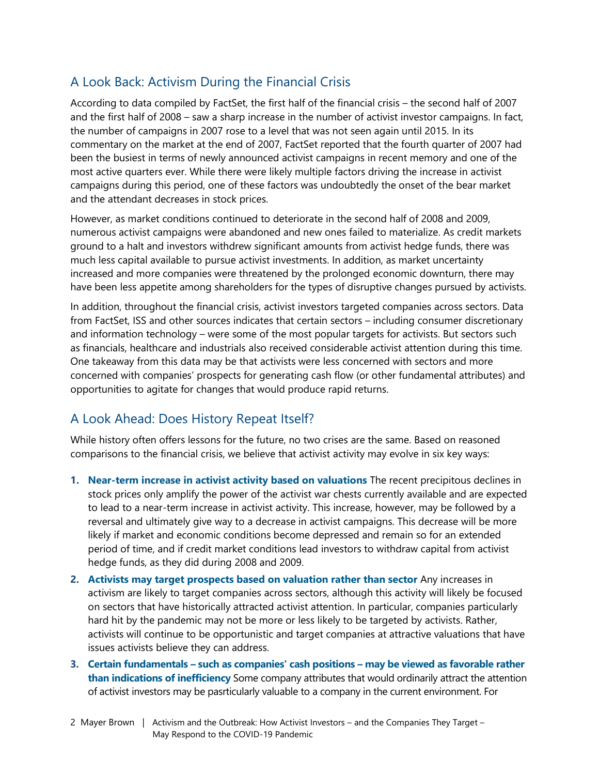## A Look Back: Activism During the Financial Crisis

According to data compiled by FactSet, the first half of the financial crisis – the second half of 2007 and the first half of 2008 – saw a sharp increase in the number of activist investor campaigns. In fact, the number of campaigns in 2007 rose to a level that was not seen again until 2015. In its commentary on the market at the end of 2007, FactSet reported that the fourth quarter of 2007 had been the busiest in terms of newly announced activist campaigns in recent memory and one of the most active quarters ever. While there were likely multiple factors driving the increase in activist campaigns during this period, one of these factors was undoubtedly the onset of the bear market and the attendant decreases in stock prices.

However, as market conditions continued to deteriorate in the second half of 2008 and 2009, numerous activist campaigns were abandoned and new ones failed to materialize. As credit markets ground to a halt and investors withdrew significant amounts from activist hedge funds, there was much less capital available to pursue activist investments. In addition, as market uncertainty increased and more companies were threatened by the prolonged economic downturn, there may have been less appetite among shareholders for the types of disruptive changes pursued by activists.

In addition, throughout the financial crisis, activist investors targeted companies across sectors. Data from FactSet, ISS and other sources indicates that certain sectors – including consumer discretionary and information technology – were some of the most popular targets for activists. But sectors such as financials, healthcare and industrials also received considerable activist attention during this time. One takeaway from this data may be that activists were less concerned with sectors and more concerned with companies' prospects for generating cash flow (or other fundamental attributes) and opportunities to agitate for changes that would produce rapid returns.

### A Look Ahead: Does History Repeat Itself?

While history often offers lessons for the future, no two crises are the same. Based on reasoned comparisons to the financial crisis, we believe that activist activity may evolve in six key ways:

- **1. Near-term increase in activist activity based on valuations** The recent precipitous declines in stock prices only amplify the power of the activist war chests currently available and are expected to lead to a near-term increase in activist activity. This increase, however, may be followed by a reversal and ultimately give way to a decrease in activist campaigns. This decrease will be more likely if market and economic conditions become depressed and remain so for an extended period of time, and if credit market conditions lead investors to withdraw capital from activist hedge funds, as they did during 2008 and 2009.
- **2. Activists may target prospects based on valuation rather than sector** Any increases in activism are likely to target companies across sectors, although this activity will likely be focused on sectors that have historically attracted activist attention. In particular, companies particularly hard hit by the pandemic may not be more or less likely to be targeted by activists. Rather, activists will continue to be opportunistic and target companies at attractive valuations that have issues activists believe they can address.
- **3. Certain fundamentals such as companies' cash positions may be viewed as favorable rather than indications of inefficiency** Some company attributes that would ordinarily attract the attention of activist investors may be pasrticularly valuable to a company in the current environment. For
- 2 Mayer Brown | Activism and the Outbreak: How Activist Investors and the Companies They Target May Respond to the COVID-19 Pandemic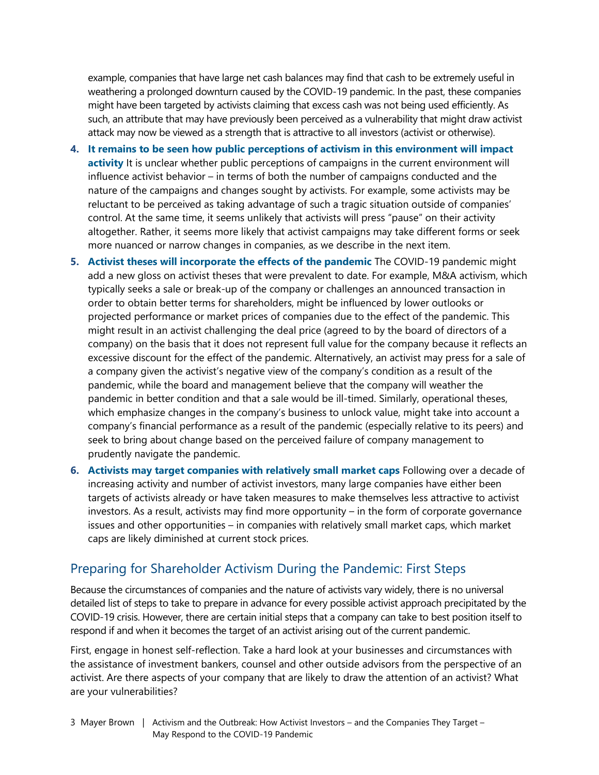example, companies that have large net cash balances may find that cash to be extremely useful in weathering a prolonged downturn caused by the COVID-19 pandemic. In the past, these companies might have been targeted by activists claiming that excess cash was not being used efficiently. As such, an attribute that may have previously been perceived as a vulnerability that might draw activist attack may now be viewed as a strength that is attractive to all investors (activist or otherwise).

- **4. It remains to be seen how public perceptions of activism in this environment will impact activity** It is unclear whether public perceptions of campaigns in the current environment will influence activist behavior – in terms of both the number of campaigns conducted and the nature of the campaigns and changes sought by activists. For example, some activists may be reluctant to be perceived as taking advantage of such a tragic situation outside of companies' control. At the same time, it seems unlikely that activists will press "pause" on their activity altogether. Rather, it seems more likely that activist campaigns may take different forms or seek more nuanced or narrow changes in companies, as we describe in the next item.
- **5. Activist theses will incorporate the effects of the pandemic** The COVID-19 pandemic might add a new gloss on activist theses that were prevalent to date. For example, M&A activism, which typically seeks a sale or break-up of the company or challenges an announced transaction in order to obtain better terms for shareholders, might be influenced by lower outlooks or projected performance or market prices of companies due to the effect of the pandemic. This might result in an activist challenging the deal price (agreed to by the board of directors of a company) on the basis that it does not represent full value for the company because it reflects an excessive discount for the effect of the pandemic. Alternatively, an activist may press for a sale of a company given the activist's negative view of the company's condition as a result of the pandemic, while the board and management believe that the company will weather the pandemic in better condition and that a sale would be ill-timed. Similarly, operational theses, which emphasize changes in the company's business to unlock value, might take into account a company's financial performance as a result of the pandemic (especially relative to its peers) and seek to bring about change based on the perceived failure of company management to prudently navigate the pandemic.
- **6. Activists may target companies with relatively small market caps** Following over a decade of increasing activity and number of activist investors, many large companies have either been targets of activists already or have taken measures to make themselves less attractive to activist investors. As a result, activists may find more opportunity – in the form of corporate governance issues and other opportunities – in companies with relatively small market caps, which market caps are likely diminished at current stock prices.

#### Preparing for Shareholder Activism During the Pandemic: First Steps

Because the circumstances of companies and the nature of activists vary widely, there is no universal detailed list of steps to take to prepare in advance for every possible activist approach precipitated by the COVID-19 crisis. However, there are certain initial steps that a company can take to best position itself to respond if and when it becomes the target of an activist arising out of the current pandemic.

First, engage in honest self-reflection. Take a hard look at your businesses and circumstances with the assistance of investment bankers, counsel and other outside advisors from the perspective of an activist. Are there aspects of your company that are likely to draw the attention of an activist? What are your vulnerabilities?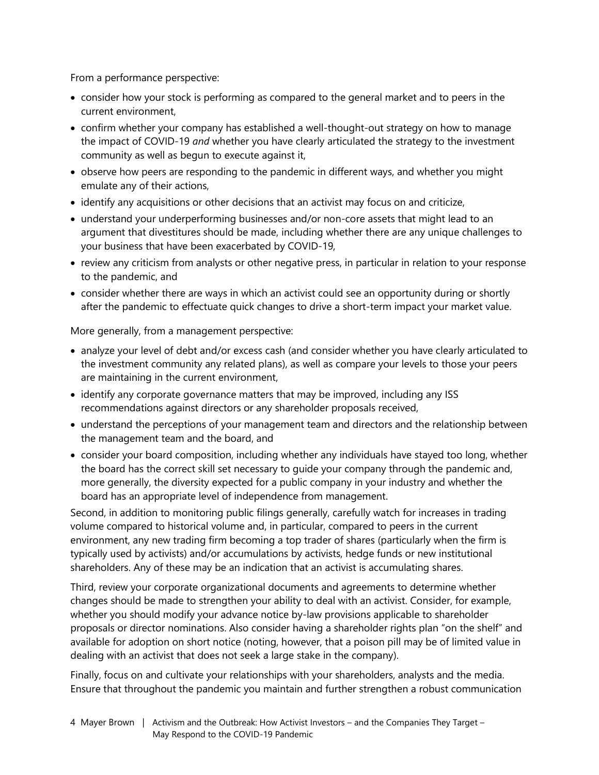From a performance perspective:

- consider how your stock is performing as compared to the general market and to peers in the current environment,
- confirm whether your company has established a well-thought-out strategy on how to manage the impact of COVID-19 *and* whether you have clearly articulated the strategy to the investment community as well as begun to execute against it,
- observe how peers are responding to the pandemic in different ways, and whether you might emulate any of their actions,
- identify any acquisitions or other decisions that an activist may focus on and criticize,
- understand your underperforming businesses and/or non-core assets that might lead to an argument that divestitures should be made, including whether there are any unique challenges to your business that have been exacerbated by COVID-19,
- review any criticism from analysts or other negative press, in particular in relation to your response to the pandemic, and
- consider whether there are ways in which an activist could see an opportunity during or shortly after the pandemic to effectuate quick changes to drive a short-term impact your market value.

More generally, from a management perspective:

- analyze your level of debt and/or excess cash (and consider whether you have clearly articulated to the investment community any related plans), as well as compare your levels to those your peers are maintaining in the current environment,
- identify any corporate governance matters that may be improved, including any ISS recommendations against directors or any shareholder proposals received,
- understand the perceptions of your management team and directors and the relationship between the management team and the board, and
- consider your board composition, including whether any individuals have stayed too long, whether the board has the correct skill set necessary to guide your company through the pandemic and, more generally, the diversity expected for a public company in your industry and whether the board has an appropriate level of independence from management.

Second, in addition to monitoring public filings generally, carefully watch for increases in trading volume compared to historical volume and, in particular, compared to peers in the current environment, any new trading firm becoming a top trader of shares (particularly when the firm is typically used by activists) and/or accumulations by activists, hedge funds or new institutional shareholders. Any of these may be an indication that an activist is accumulating shares.

Third, review your corporate organizational documents and agreements to determine whether changes should be made to strengthen your ability to deal with an activist. Consider, for example, whether you should modify your advance notice by-law provisions applicable to shareholder proposals or director nominations. Also consider having a shareholder rights plan "on the shelf" and available for adoption on short notice (noting, however, that a poison pill may be of limited value in dealing with an activist that does not seek a large stake in the company).

Finally, focus on and cultivate your relationships with your shareholders, analysts and the media. Ensure that throughout the pandemic you maintain and further strengthen a robust communication